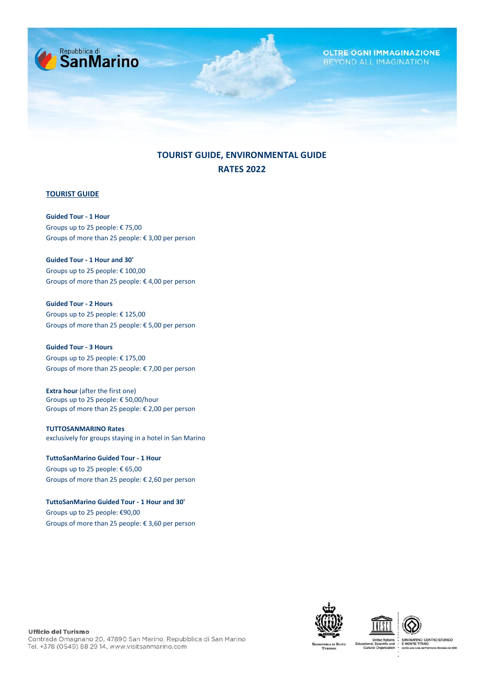

## **TOURIST GUIDE, ENVIRONMENTAL GUIDE RATES 2022**

## **TOURIST GUIDE**

**Guided Tour - 1 Hour** Groups up to 25 people: € 75,00 Groups of more than 25 people: € 3,00 per person

**Guided Tour - 1 Hour and 30'** Groups up to 25 people: € 100,00 Groups of more than 25 people: € 4,00 per person

**Guided Tour - 2 Hours**  Groups up to 25 people: € 125,00 Groups of more than 25 people: € 5,00 per person

**Guided Tour - 3 Hours** Groups up to 25 people: € 175,00 Groups of more than 25 people: € 7,00 per person

**Extra hour** (after the first one) Groups up to 25 people: € 50,00/hour Groups of more than 25 people: € 2,00 per person

**TUTTOSANMARINO Rates** exclusively for groups staying in a hotel in San Marino

**TuttoSanMarino Guided Tour - 1 Hour**  Groups up to 25 people: € 65,00 Groups of more than 25 people: € 2,60 per person

**TuttoSanMarino Guided Tour - 1 Hour and 30'**  Groups up to 25 people: €90,00 Groups of more than 25 people: € 3,60 per person







**Ufficio del Turismo** 

Contrada Omagnano 20, 47890 San Marino, Repubblica di San Marino Tel. +378 (0549) 88 29 14, www.visitsanmarino.com

NO: CENTRO STORICO<br>TITANO